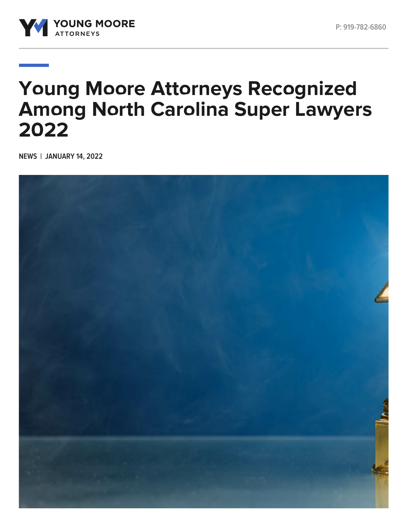

## **Young Moore Attorneys Recognized Among North Carolina Super Lawyers 2022**

**NEWS | JANUARY 14, 2022**

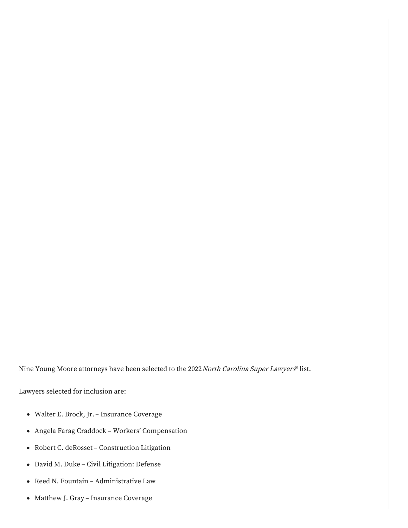Nine Young Moore attorneys have been selected to the 2022 North Carolina Super Lawyers® list.

Lawyers selected for inclusion are:

- [Walter](https://www.youngmoorelaw.com/people/attorneys/walter-e-brock-jr/) E. Brock, Jr. Insurance Coverage
- Angela Farag [Craddock](https://www.youngmoorelaw.com/people/attorneys/angela-farag-craddock/) Workers' Compensation
- Robert C. [deRosset](https://www.youngmoorelaw.com/people/attorneys/robert-c-derosset/) Construction Litigation
- [David](https://www.youngmoorelaw.com/people/attorneys/david-m-duke/) M. Duke Civil Litigation: Defense
- Reed N. [Fountain](https://www.youngmoorelaw.com/people/attorneys/reed-n-fountain/) Administrative Law
- [Matthew](https://www.youngmoorelaw.com/people/attorneys/matthew-j-gray/) J. Gray Insurance Coverage